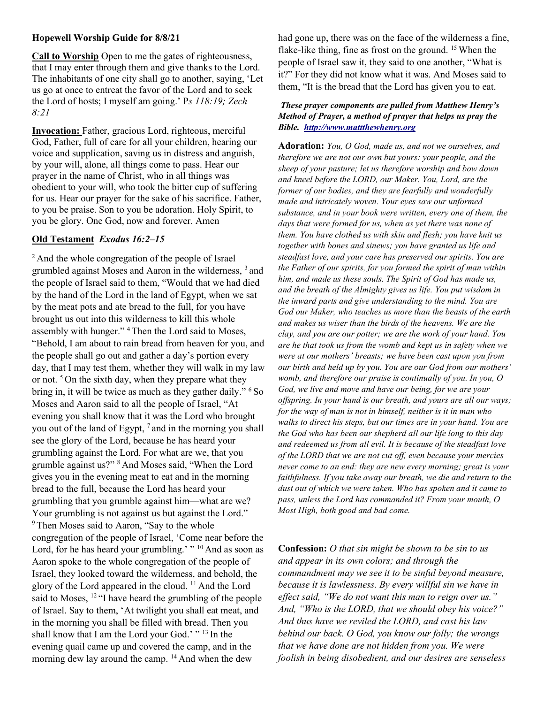### Hopewell Worship Guide for 8/8/21

Call to Worship Open to me the gates of righteousness, that I may enter through them and give thanks to the Lord. The inhabitants of one city shall go to another, saying, 'Let us go at once to entreat the favor of the Lord and to seek the Lord of hosts; I myself am going.' Ps 118:19; Zech 8:21

Invocation: Father, gracious Lord, righteous, merciful God, Father, full of care for all your children, hearing our voice and supplication, saving us in distress and anguish, by your will, alone, all things come to pass. Hear our prayer in the name of Christ, who in all things was obedient to your will, who took the bitter cup of suffering for us. Hear our prayer for the sake of his sacrifice. Father, to you be praise. Son to you be adoration. Holy Spirit, to you be glory. One God, now and forever. Amen

# Old Testament Exodus 16:2–15

<sup>2</sup> And the whole congregation of the people of Israel grumbled against Moses and Aaron in the wilderness, <sup>3</sup>and the people of Israel said to them, "Would that we had died by the hand of the Lord in the land of Egypt, when we sat by the meat pots and ate bread to the full, for you have brought us out into this wilderness to kill this whole assembly with hunger." <sup>4</sup>Then the Lord said to Moses, "Behold, I am about to rain bread from heaven for you, and the people shall go out and gather a day's portion every day, that I may test them, whether they will walk in my law or not.  $5$  On the sixth day, when they prepare what they bring in, it will be twice as much as they gather daily."  $6$  So Moses and Aaron said to all the people of Israel, "At evening you shall know that it was the Lord who brought you out of the land of Egypt, <sup>7</sup>and in the morning you shall see the glory of the Lord, because he has heard your grumbling against the Lord. For what are we, that you grumble against us?" <sup>8</sup>And Moses said, "When the Lord gives you in the evening meat to eat and in the morning bread to the full, because the Lord has heard your grumbling that you grumble against him—what are we? Your grumbling is not against us but against the Lord." <sup>9</sup> Then Moses said to Aaron, "Say to the whole congregation of the people of Israel, 'Come near before the Lord, for he has heard your grumbling.' "  $^{10}$  And as soon as Aaron spoke to the whole congregation of the people of Israel, they looked toward the wilderness, and behold, the glory of the Lord appeared in the cloud.  $^{11}$  And the Lord said to Moses, <sup>12</sup>"I have heard the grumbling of the people of Israel. Say to them, 'At twilight you shall eat meat, and in the morning you shall be filled with bread. Then you shall know that I am the Lord your God.' "<sup>13</sup> In the evening quail came up and covered the camp, and in the morning dew lay around the camp. <sup>14</sup> And when the dew

had gone up, there was on the face of the wilderness a fine, flake-like thing, fine as frost on the ground.  $15$  When the people of Israel saw it, they said to one another, "What is it?" For they did not know what it was. And Moses said to them, "It is the bread that the Lord has given you to eat.

#### These prayer components are pulled from Matthew Henry's Method of Prayer, a method of prayer that helps us pray the Bible. http://www.mattthewhenry.org

Adoration: You, O God, made us, and not we ourselves, and therefore we are not our own but yours: your people, and the sheep of your pasture; let us therefore worship and bow down and kneel before the LORD, our Maker. You, Lord, are the former of our bodies, and they are fearfully and wonderfully made and intricately woven. Your eyes saw our unformed substance, and in your book were written, every one of them, the days that were formed for us, when as yet there was none of them. You have clothed us with skin and flesh; you have knit us together with bones and sinews; you have granted us life and steadfast love, and your care has preserved our spirits. You are the Father of our spirits, for you formed the spirit of man within him, and made us these souls. The Spirit of God has made us, and the breath of the Almighty gives us life. You put wisdom in the inward parts and give understanding to the mind. You are God our Maker, who teaches us more than the beasts of the earth and makes us wiser than the birds of the heavens. We are the clay, and you are our potter; we are the work of your hand. You are he that took us from the womb and kept us in safety when we were at our mothers' breasts; we have been cast upon you from our birth and held up by you. You are our God from our mothers' womb, and therefore our praise is continually of you. In you, O God, we live and move and have our being, for we are your offspring. In your hand is our breath, and yours are all our ways; for the way of man is not in himself, neither is it in man who walks to direct his steps, but our times are in your hand. You are the God who has been our shepherd all our life long to this day and redeemed us from all evil. It is because of the steadfast love of the LORD that we are not cut off, even because your mercies never come to an end: they are new every morning; great is your faithfulness. If you take away our breath, we die and return to the dust out of which we were taken. Who has spoken and it came to pass, unless the Lord has commanded it? From your mouth, O Most High, both good and bad come.

Confession: *O that sin might be shown to be sin to us* and appear in its own colors; and through the commandment may we see it to be sinful beyond measure, because it is lawlessness. By every willful sin we have in effect said, "We do not want this man to reign over us." And, "Who is the LORD, that we should obey his voice?" And thus have we reviled the LORD, and cast his law behind our back. O God, you know our folly; the wrongs that we have done are not hidden from you. We were foolish in being disobedient, and our desires are senseless